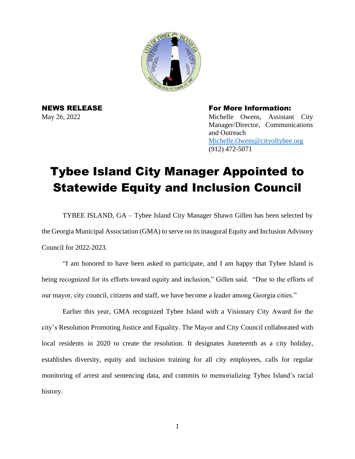

NEWS RELEASE For More Information: May 26, 2022 Michelle Owens, Assistant City Manager/Director, Communications and Outreach [Michelle.Owens@cityoftybee.org](mailto:Michelle.Owens@cityoftybee.org) (912) 472-5071

## Tybee Island City Manager Appointed to Statewide Equity and Inclusion Council

TYBEE ISLAND, GA – Tybee Island City Manager Shawn Gillen has been selected by the Georgia Municipal Association (GMA) to serve on its inaugural Equity and Inclusion Advisory Council for 2022-2023.

"I am honored to have been asked to participate, and I am happy that Tybee Island is being recognized for its efforts toward equity and inclusion," Gillen said. "Due to the efforts of our mayor, city council, citizens and staff, we have become a leader among Georgia cities."

Earlier this year, GMA recognized Tybee Island with a Visionary City Award for the city's Resolution Promoting Justice and Equality. The Mayor and City Council collaborated with local residents in 2020 to create the resolution. It designates Juneteenth as a city holiday, establishes diversity, equity and inclusion training for all city employees, calls for regular monitoring of arrest and sentencing data, and commits to memorializing Tybee Island's racial history.